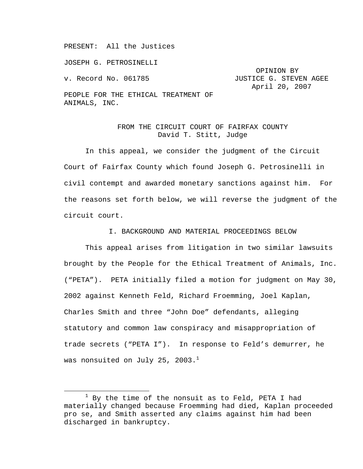PRESENT: All the Justices

JOSEPH G. PETROSINELLI

 OPINION BY v. Record No. 061785 **JUSTICE G. STEVEN AGEE** April 20, 2007

PEOPLE FOR THE ETHICAL TREATMENT OF ANIMALS, INC.

# FROM THE CIRCUIT COURT OF FAIRFAX COUNTY David T. Stitt, Judge

In this appeal, we consider the judgment of the Circuit Court of Fairfax County which found Joseph G. Petrosinelli in civil contempt and awarded monetary sanctions against him. For the reasons set forth below, we will reverse the judgment of the circuit court.

## I. BACKGROUND AND MATERIAL PROCEEDINGS BELOW

 This appeal arises from litigation in two similar lawsuits brought by the People for the Ethical Treatment of Animals, Inc. ("PETA"). PETA initially filed a motion for judgment on May 30, 2002 against Kenneth Feld, Richard Froemming, Joel Kaplan, Charles Smith and three "John Doe" defendants, alleging statutory and common law conspiracy and misappropriation of trade secrets ("PETA I"). In response to Feld's demurrer, he was nonsuited on July 25, 2003. $<sup>1</sup>$ </sup>

<sup>1</sup>  $1$  By the time of the nonsuit as to Feld, PETA I had materially changed because Froemming had died, Kaplan proceeded pro se, and Smith asserted any claims against him had been discharged in bankruptcy.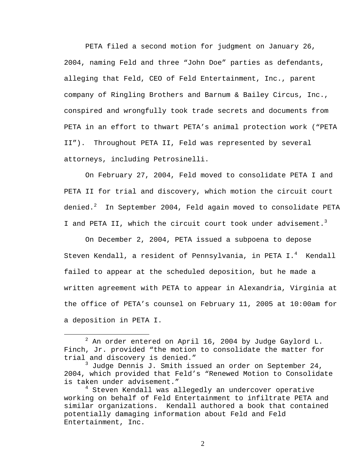PETA filed a second motion for judgment on January 26, 2004, naming Feld and three "John Doe" parties as defendants, alleging that Feld, CEO of Feld Entertainment, Inc., parent company of Ringling Brothers and Barnum & Bailey Circus, Inc., conspired and wrongfully took trade secrets and documents from PETA in an effort to thwart PETA's animal protection work ("PETA II"). Throughout PETA II, Feld was represented by several attorneys, including Petrosinelli.

On February 27, 2004, Feld moved to consolidate PETA I and PETA II for trial and discovery, which motion the circuit court denied. $^2$  In September 2004, Feld again moved to consolidate PETA I and PETA II, which the circuit court took under advisement.<sup>3</sup>

On December 2, 2004, PETA issued a subpoena to depose Steven Kendall, a resident of Pennsylvania, in PETA I.<sup>4</sup> Kendall failed to appear at the scheduled deposition, but he made a written agreement with PETA to appear in Alexandria, Virginia at the office of PETA's counsel on February 11, 2005 at 10:00am for a deposition in PETA I.

 $\begin{array}{c|c}\n\hline\n\text{2}\n\end{array}$  $^2$  An order entered on April 16, 2004 by Judge Gaylord L. Finch, Jr. provided "the motion to consolidate the matter for trial and discovery is denied."

<sup>3</sup> Judge Dennis J. Smith issued an order on September 24, 2004, which provided that Feld's "Renewed Motion to Consolidate is taken under advisement."

<sup>4</sup> Steven Kendall was allegedly an undercover operative working on behalf of Feld Entertainment to infiltrate PETA and similar organizations. Kendall authored a book that contained potentially damaging information about Feld and Feld Entertainment, Inc.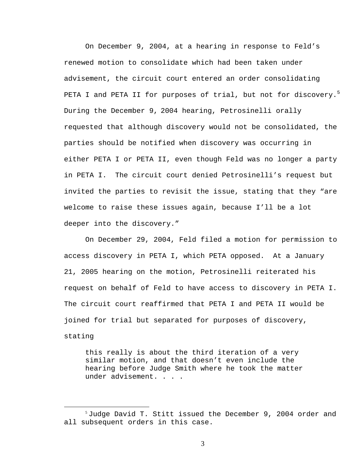On December 9, 2004, at a hearing in response to Feld's renewed motion to consolidate which had been taken under advisement, the circuit court entered an order consolidating PETA I and PETA II for purposes of trial, but not for discovery. $^5$ During the December 9, 2004 hearing, Petrosinelli orally requested that although discovery would not be consolidated, the parties should be notified when discovery was occurring in either PETA I or PETA II, even though Feld was no longer a party in PETA I. The circuit court denied Petrosinelli's request but invited the parties to revisit the issue, stating that they "are welcome to raise these issues again, because I'll be a lot deeper into the discovery."

On December 29, 2004, Feld filed a motion for permission to access discovery in PETA I, which PETA opposed. At a January 21, 2005 hearing on the motion, Petrosinelli reiterated his request on behalf of Feld to have access to discovery in PETA I. The circuit court reaffirmed that PETA I and PETA II would be joined for trial but separated for purposes of discovery, stating

this really is about the third iteration of a very similar motion, and that doesn't even include the hearing before Judge Smith where he took the matter under advisement. . . .

 $5$  Judge David T. Stitt issued the December 9, 2004 order and all subsequent orders in this case.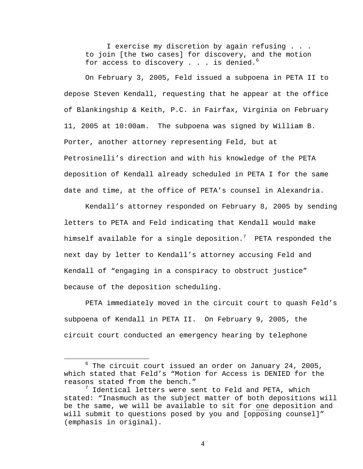I exercise my discretion by again refusing . . . to join [the two cases] for discovery, and the motion for access to discovery  $\ldots$  is denied.<sup>6</sup>

On February 3, 2005, Feld issued a subpoena in PETA II to depose Steven Kendall, requesting that he appear at the office of Blankingship & Keith, P.C. in Fairfax, Virginia on February 11, 2005 at 10:00am. The subpoena was signed by William B. Porter, another attorney representing Feld, but at Petrosinelli's direction and with his knowledge of the PETA deposition of Kendall already scheduled in PETA I for the same date and time, at the office of PETA's counsel in Alexandria.

Kendall's attorney responded on February 8, 2005 by sending letters to PETA and Feld indicating that Kendall would make himself available for a single deposition. $^7$  PETA responded the next day by letter to Kendall's attorney accusing Feld and Kendall of "engaging in a conspiracy to obstruct justice" because of the deposition scheduling.

PETA immediately moved in the circuit court to quash Feld's subpoena of Kendall in PETA II. On February 9, 2005, the circuit court conducted an emergency hearing by telephone

<sup>6</sup>  $6$  The circuit court issued an order on January 24, 2005, which stated that Feld's "Motion for Access is DENIED for the reasons stated from the bench."

 $^7$  Identical letters were sent to Feld and PETA, which stated: "Inasmuch as the subject matter of both depositions will be the same, we will be available to sit for one deposition and will submit to questions posed by you and [opposing counsel]" (emphasis in original).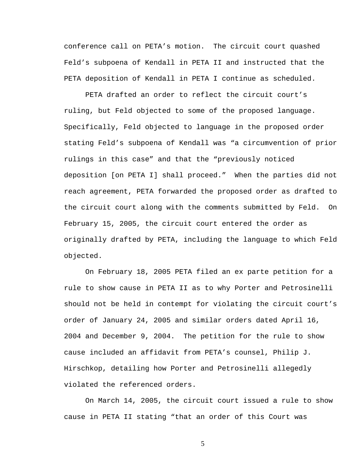conference call on PETA's motion. The circuit court quashed Feld's subpoena of Kendall in PETA II and instructed that the PETA deposition of Kendall in PETA I continue as scheduled.

PETA drafted an order to reflect the circuit court's ruling, but Feld objected to some of the proposed language. Specifically, Feld objected to language in the proposed order stating Feld's subpoena of Kendall was "a circumvention of prior rulings in this case" and that the "previously noticed deposition [on PETA I] shall proceed." When the parties did not reach agreement, PETA forwarded the proposed order as drafted to the circuit court along with the comments submitted by Feld. On February 15, 2005, the circuit court entered the order as originally drafted by PETA, including the language to which Feld objected.

On February 18, 2005 PETA filed an ex parte petition for a rule to show cause in PETA II as to why Porter and Petrosinelli should not be held in contempt for violating the circuit court's order of January 24, 2005 and similar orders dated April 16, 2004 and December 9, 2004. The petition for the rule to show cause included an affidavit from PETA's counsel, Philip J. Hirschkop, detailing how Porter and Petrosinelli allegedly violated the referenced orders.

On March 14, 2005, the circuit court issued a rule to show cause in PETA II stating "that an order of this Court was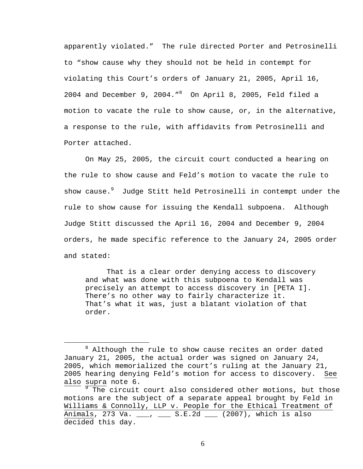apparently violated." The rule directed Porter and Petrosinelli to "show cause why they should not be held in contempt for violating this Court's orders of January 21, 2005, April 16, 2004 and December 9, 2004." $8$  On April 8, 2005, Feld filed a motion to vacate the rule to show cause, or, in the alternative, a response to the rule, with affidavits from Petrosinelli and Porter attached.

On May 25, 2005, the circuit court conducted a hearing on the rule to show cause and Feld's motion to vacate the rule to show cause.<sup>9</sup> Judge Stitt held Petrosinelli in contempt under the rule to show cause for issuing the Kendall subpoena. Although Judge Stitt discussed the April 16, 2004 and December 9, 2004 orders, he made specific reference to the January 24, 2005 order and stated:

That is a clear order denying access to discovery and what was done with this subpoena to Kendall was precisely an attempt to access discovery in [PETA I]. There's no other way to fairly characterize it. That's what it was, just a blatant violation of that order.

 $\overline{a}$  $8$  Although the rule to show cause recites an order dated January 21, 2005, the actual order was signed on January 24, 2005, which memorialized the court's ruling at the January 21, 2005 hearing denying Feld's motion for access to discovery. See also supra note 6.

<sup>&</sup>lt;sup>9</sup> The circuit court also considered other motions, but those motions are the subject of a separate appeal brought by Feld in Williams & Connolly, LLP v. People for the Ethical Treatment of Animals, 273 Va. \_\_\_, \_\_\_ S.E.2d \_\_\_ (2007), which is also decided this day.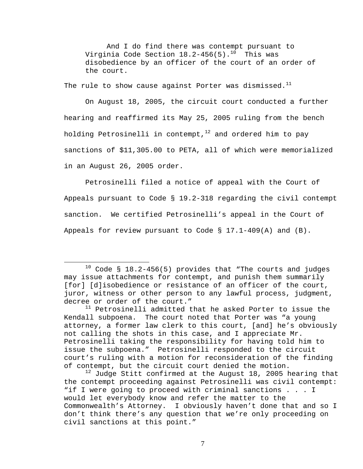And I do find there was contempt pursuant to Virginia Code Section  $18.2-456(5)$ .<sup>10</sup> This was disobedience by an officer of the court of an order of the court.

The rule to show cause against Porter was dismissed.<sup>11</sup>

On August 18, 2005, the circuit court conducted a further hearing and reaffirmed its May 25, 2005 ruling from the bench holding Petrosinelli in contempt, $12$  and ordered him to pay sanctions of \$11,305.00 to PETA, all of which were memorialized in an August 26, 2005 order.

Petrosinelli filed a notice of appeal with the Court of Appeals pursuant to Code § 19.2-318 regarding the civil contempt sanction. We certified Petrosinelli's appeal in the Court of Appeals for review pursuant to Code  $\S$  17.1-409(A) and (B).

 $10$  Code § 18.2-456(5) provides that "The courts and judges may issue attachments for contempt, and punish them summarily [for] [d]isobedience or resistance of an officer of the court, juror, witness or other person to any lawful process, judgment, decree or order of the court."

 $11$  Petrosinelli admitted that he asked Porter to issue the Kendall subpoena. The court noted that Porter was "a young attorney, a former law clerk to this court, [and] he's obviously not calling the shots in this case, and I appreciate Mr. Petrosinelli taking the responsibility for having told him to issue the subpoena." Petrosinelli responded to the circuit court's ruling with a motion for reconsideration of the finding of contempt, but the circuit court denied the motion.

 $^{12}$  Judge Stitt confirmed at the August 18, 2005 hearing that the contempt proceeding against Petrosinelli was civil contempt: "if I were going to proceed with criminal sanctions . . . I would let everybody know and refer the matter to the Commonwealth's Attorney. I obviously haven't done that and so I don't think there's any question that we're only proceeding on civil sanctions at this point."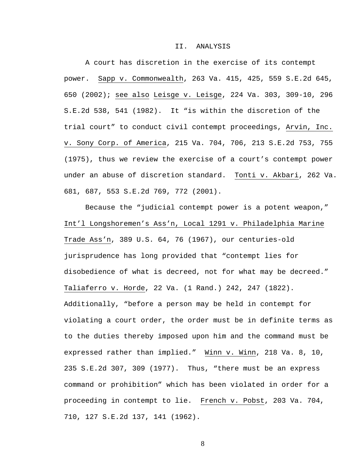#### II. ANALYSIS

 A court has discretion in the exercise of its contempt power. Sapp v. Commonwealth, 263 Va. 415, 425, 559 S.E.2d 645, 650 (2002); see also Leisge v. Leisge, 224 Va. 303, 309-10, 296 S.E.2d 538, 541 (1982). It "is within the discretion of the trial court" to conduct civil contempt proceedings, Arvin, Inc. v. Sony Corp. of America, 215 Va. 704, 706, 213 S.E.2d 753, 755 (1975), thus we review the exercise of a court's contempt power under an abuse of discretion standard. Tonti v. Akbari, 262 Va. 681, 687, 553 S.E.2d 769, 772 (2001).

Because the "judicial contempt power is a potent weapon," Int'l Longshoremen's Ass'n, Local 1291 v. Philadelphia Marine Trade Ass'n, 389 U.S. 64, 76 (1967), our centuries-old jurisprudence has long provided that "contempt lies for disobedience of what is decreed, not for what may be decreed." Taliaferro v. Horde, 22 Va. (1 Rand.) 242, 247 (1822). Additionally, "before a person may be held in contempt for violating a court order, the order must be in definite terms as to the duties thereby imposed upon him and the command must be expressed rather than implied." Winn v. Winn, 218 Va. 8, 10, 235 S.E.2d 307, 309 (1977). Thus, "there must be an express command or prohibition" which has been violated in order for a proceeding in contempt to lie. French v. Pobst, 203 Va. 704, 710, 127 S.E.2d 137, 141 (1962).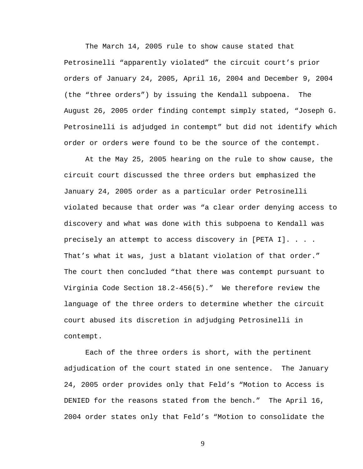The March 14, 2005 rule to show cause stated that Petrosinelli "apparently violated" the circuit court's prior orders of January 24, 2005, April 16, 2004 and December 9, 2004 (the "three orders") by issuing the Kendall subpoena. The August 26, 2005 order finding contempt simply stated, "Joseph G. Petrosinelli is adjudged in contempt" but did not identify which order or orders were found to be the source of the contempt.

 At the May 25, 2005 hearing on the rule to show cause, the circuit court discussed the three orders but emphasized the January 24, 2005 order as a particular order Petrosinelli violated because that order was "a clear order denying access to discovery and what was done with this subpoena to Kendall was precisely an attempt to access discovery in [PETA I]. . . . That's what it was, just a blatant violation of that order." The court then concluded "that there was contempt pursuant to Virginia Code Section 18.2-456(5)." We therefore review the language of the three orders to determine whether the circuit court abused its discretion in adjudging Petrosinelli in contempt.

 Each of the three orders is short, with the pertinent adjudication of the court stated in one sentence. The January 24, 2005 order provides only that Feld's "Motion to Access is DENIED for the reasons stated from the bench." The April 16, 2004 order states only that Feld's "Motion to consolidate the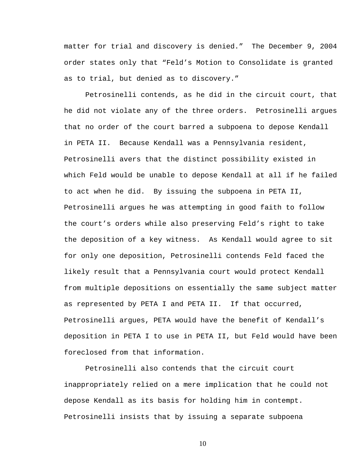matter for trial and discovery is denied." The December 9, 2004 order states only that "Feld's Motion to Consolidate is granted as to trial, but denied as to discovery."

 Petrosinelli contends, as he did in the circuit court, that he did not violate any of the three orders. Petrosinelli argues that no order of the court barred a subpoena to depose Kendall in PETA II. Because Kendall was a Pennsylvania resident, Petrosinelli avers that the distinct possibility existed in which Feld would be unable to depose Kendall at all if he failed to act when he did. By issuing the subpoena in PETA II, Petrosinelli argues he was attempting in good faith to follow the court's orders while also preserving Feld's right to take the deposition of a key witness. As Kendall would agree to sit for only one deposition, Petrosinelli contends Feld faced the likely result that a Pennsylvania court would protect Kendall from multiple depositions on essentially the same subject matter as represented by PETA I and PETA II. If that occurred, Petrosinelli argues, PETA would have the benefit of Kendall's deposition in PETA I to use in PETA II, but Feld would have been foreclosed from that information.

Petrosinelli also contends that the circuit court inappropriately relied on a mere implication that he could not depose Kendall as its basis for holding him in contempt. Petrosinelli insists that by issuing a separate subpoena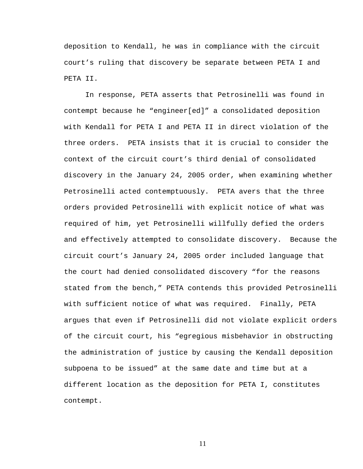deposition to Kendall, he was in compliance with the circuit court's ruling that discovery be separate between PETA I and PETA II.

 In response, PETA asserts that Petrosinelli was found in contempt because he "engineer[ed]" a consolidated deposition with Kendall for PETA I and PETA II in direct violation of the three orders. PETA insists that it is crucial to consider the context of the circuit court's third denial of consolidated discovery in the January 24, 2005 order, when examining whether Petrosinelli acted contemptuously. PETA avers that the three orders provided Petrosinelli with explicit notice of what was required of him, yet Petrosinelli willfully defied the orders and effectively attempted to consolidate discovery. Because the circuit court's January 24, 2005 order included language that the court had denied consolidated discovery "for the reasons stated from the bench," PETA contends this provided Petrosinelli with sufficient notice of what was required. Finally, PETA argues that even if Petrosinelli did not violate explicit orders of the circuit court, his "egregious misbehavior in obstructing the administration of justice by causing the Kendall deposition subpoena to be issued" at the same date and time but at a different location as the deposition for PETA I, constitutes contempt.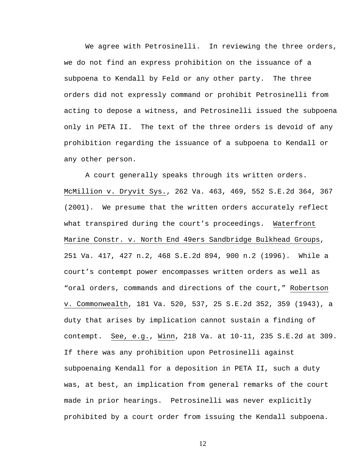We agree with Petrosinelli. In reviewing the three orders, we do not find an express prohibition on the issuance of a subpoena to Kendall by Feld or any other party. The three orders did not expressly command or prohibit Petrosinelli from acting to depose a witness, and Petrosinelli issued the subpoena only in PETA II. The text of the three orders is devoid of any prohibition regarding the issuance of a subpoena to Kendall or any other person.

A court generally speaks through its written orders. McMillion v. Dryvit Sys., 262 Va. 463, 469, 552 S.E.2d 364, 367 (2001). We presume that the written orders accurately reflect what transpired during the court's proceedings. Waterfront Marine Constr. v. North End 49ers Sandbridge Bulkhead Groups, 251 Va. 417, 427 n.2, 468 S.E.2d 894, 900 n.2 (1996). While a court's contempt power encompasses written orders as well as "oral orders, commands and directions of the court," Robertson v. Commonwealth, 181 Va. 520, 537, 25 S.E.2d 352, 359 (1943), a duty that arises by implication cannot sustain a finding of contempt. See, e.g., Winn, 218 Va. at 10-11, 235 S.E.2d at 309. If there was any prohibition upon Petrosinelli against subpoenaing Kendall for a deposition in PETA II, such a duty was, at best, an implication from general remarks of the court made in prior hearings. Petrosinelli was never explicitly prohibited by a court order from issuing the Kendall subpoena.